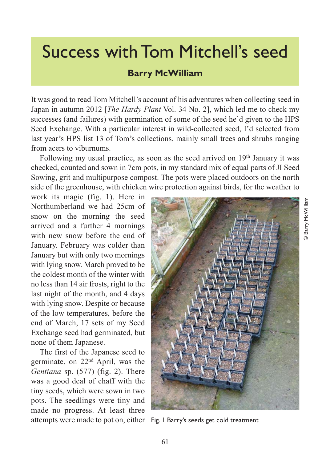## Success with Tom Mitchell's seed

## **Barry McWilliam**

It was good to read Tom Mitchell's account of his adventures when collecting seed in Japan in autumn 2012 [*The Hardy Plant* Vol. 34 No. 2], which led me to check my successes (and failures) with germination of some of the seed he'd given to the HPS Seed Exchange. With a particular interest in wild-collected seed, I'd selected from last year's HPS list 13 of Tom's collections, mainly small trees and shrubs ranging from acers to viburnums.

Following my usual practice, as soon as the seed arrived on  $19<sup>th</sup>$  January it was checked, counted and sown in 7cm pots, in my standard mix of equal parts of JI Seed Sowing, grit and multipurpose compost. The pots were placed outdoors on the north side of the greenhouse, with chicken wire protection against birds, for the weather to

work its magic (fig. 1). Here in Northumberland we had 25cm of snow on the morning the seed arrived and a further 4 mornings with new snow before the end of January. February was colder than January but with only two mornings with lying snow. March proved to be the coldest month of the winter with no less than 14 air frosts, right to the last night of the month, and 4 days with lying snow. Despite or because of the low temperatures, before the end of March, 17 sets of my Seed Exchange seed had germinated, but none of them Japanese.

The first of the Japanese seed to germinate, on 22nd April, was the *Gentiana* sp. (577) (fig. 2). There was a good deal of chaff with the tiny seeds, which were sown in two pots. The seedlings were tiny and made no progress. At least three attempts were made to pot on, either Fig. 1 Barry's seeds get cold treatment

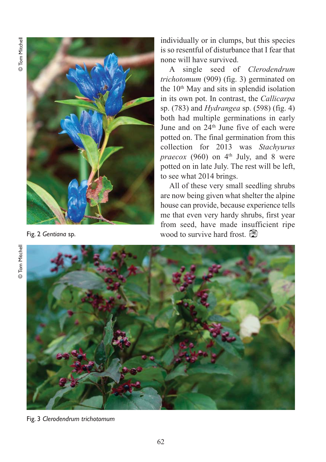

individually or in clumps, but this species is so resentful of disturbance that I fear that none will have survived.

A single seed of *Clerodendrum trichotomum* (909) (fig. 3) germinated on the  $10<sup>th</sup>$  May and sits in splendid isolation in its own pot. In contrast, the *Callicarpa* sp. (783) and *Hydrangea* sp. (598) (fig. 4) both had multiple germinations in early June and on 24<sup>th</sup> June five of each were potted on. The final germination from this collection for 2013 was *Stachyurus praecox* (960) on  $4<sup>th</sup>$  July, and 8 were potted on in late July. The rest will be left, to see what 2014 brings.

All of these very small seedling shrubs are now being given what shelter the alpine house can provide, because experience tells me that even very hardy shrubs, first year from seed, have made insufficient ripe Fig. 2 *Gentiana* sp. **Example 2 6 wood** to survive hard frost.



Fig. 3 *Clerodendrum trichotomum*